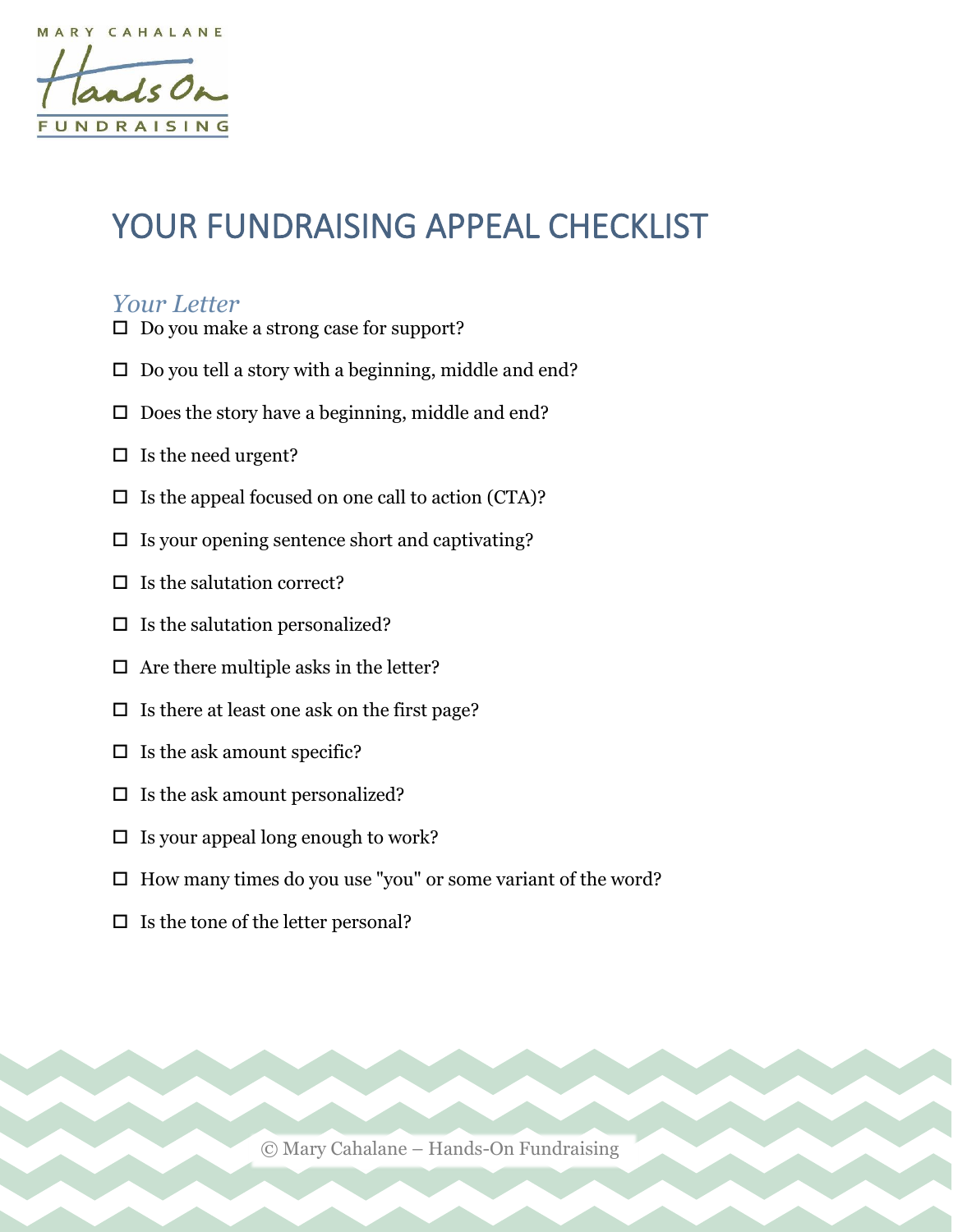j

# YOUR FUNDRAISING APPEAL CHECKLIST

### *Your Letter*

- □ Do you make a strong case for support?
- $\Box$  Do you tell a story with a beginning, middle and end?
- $\Box$  Does the story have a beginning, middle and end?
- $\square$  Is the need urgent?
- $\Box$  Is the appeal focused on one call to action (CTA)?
- $\square$  Is your opening sentence short and captivating?
- $\Box$  Is the salutation correct?
- $\Box$  Is the salutation personalized?
- $\Box$  Are there multiple asks in the letter?
- $\square$  Is there at least one ask on the first page?
- $\Box$  Is the ask amount specific?
- $\Box$  Is the ask amount personalized?
- $\Box$  Is your appeal long enough to work?
- $\Box$  How many times do you use "you" or some variant of the word?
- $\Box$  Is the tone of the letter personal?

© Mary Cahalane – Hands-On Fundraising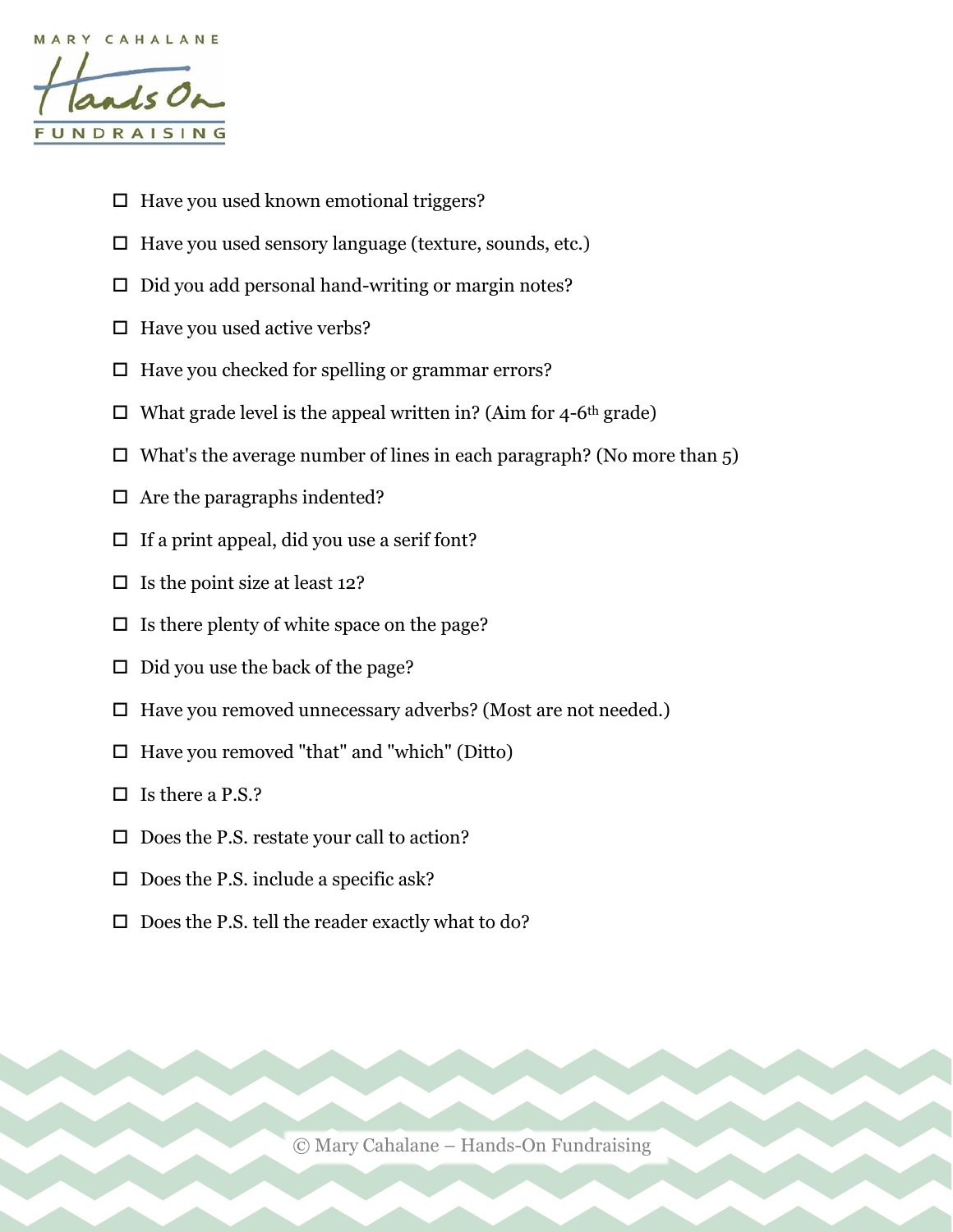

- $\Box$  Have you used known emotional triggers?
- $\Box$  Have you used sensory language (texture, sounds, etc.)
- $\Box$  Did you add personal hand-writing or margin notes?
- $\Box$  Have you used active verbs?
- $\Box$  Have you checked for spelling or grammar errors?
- $\Box$  What grade level is the appeal written in? (Aim for 4-6<sup>th</sup> grade)
- $\Box$  What's the average number of lines in each paragraph? (No more than 5)
- $\Box$  Are the paragraphs indented?
- $\Box$  If a print appeal, did you use a serif font?
- $\Box$  Is the point size at least 12?
- $\Box$  Is there plenty of white space on the page?
- $\Box$  Did you use the back of the page?
- $\Box$  Have you removed unnecessary adverbs? (Most are not needed.)
- $\Box$  Have you removed "that" and "which" (Ditto)
- $\Box$  Is there a P.S.?
- $\square$  Does the P.S. restate your call to action?
- $\square$  Does the P.S. include a specific ask?
- $\square$  Does the P.S. tell the reader exactly what to do?

© Mary Cahalane – Hands-On Fundraising